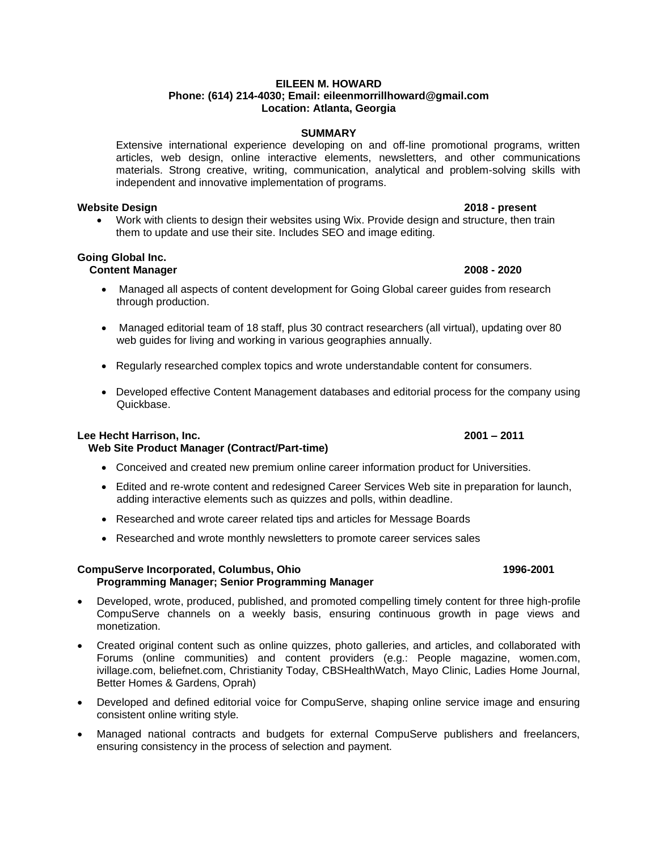### **EILEEN M. HOWARD Phone: (614) 214-4030; Email: eileenmorrillhoward@gmail.com Location: Atlanta, Georgia**

## **SUMMARY**

Extensive international experience developing on and off-line promotional programs, written articles, web design, online interactive elements, newsletters, and other communications materials. Strong creative, writing, communication, analytical and problem-solving skills with independent and innovative implementation of programs.

### **Website Design 2018 - present**

• Work with clients to design their websites using Wix. Provide design and structure, then train them to update and use their site. Includes SEO and image editing.

## **Going Global Inc.**

## **Content Manager 2008 - 2020**

- Managed all aspects of content development for Going Global career guides from research through production.
- Managed editorial team of 18 staff, plus 30 contract researchers (all virtual), updating over 80 web guides for living and working in various geographies annually.
- Regularly researched complex topics and wrote understandable content for consumers.
- Developed effective Content Management databases and editorial process for the company using Quickbase.

### **Lee Hecht Harrison, Inc. 2001 – 2011**

## **Web Site Product Manager (Contract/Part-time)**

- Conceived and created new premium online career information product for Universities.
- Edited and re-wrote content and redesigned Career Services Web site in preparation for launch, adding interactive elements such as quizzes and polls, within deadline.
- Researched and wrote career related tips and articles for Message Boards
- Researched and wrote monthly newsletters to promote career services sales

### **CompuServe Incorporated, Columbus, Ohio 1996-2001 Programming Manager; Senior Programming Manager**

- Developed, wrote, produced, published, and promoted compelling timely content for three high-profile CompuServe channels on a weekly basis, ensuring continuous growth in page views and monetization.
- Created original content such as online quizzes, photo galleries, and articles, and collaborated with Forums (online communities) and content providers (e.g.: People magazine, women.com, ivillage.com, beliefnet.com, Christianity Today, CBSHealthWatch, Mayo Clinic, Ladies Home Journal, Better Homes & Gardens, Oprah)
- Developed and defined editorial voice for CompuServe, shaping online service image and ensuring consistent online writing style.
- Managed national contracts and budgets for external CompuServe publishers and freelancers, ensuring consistency in the process of selection and payment.